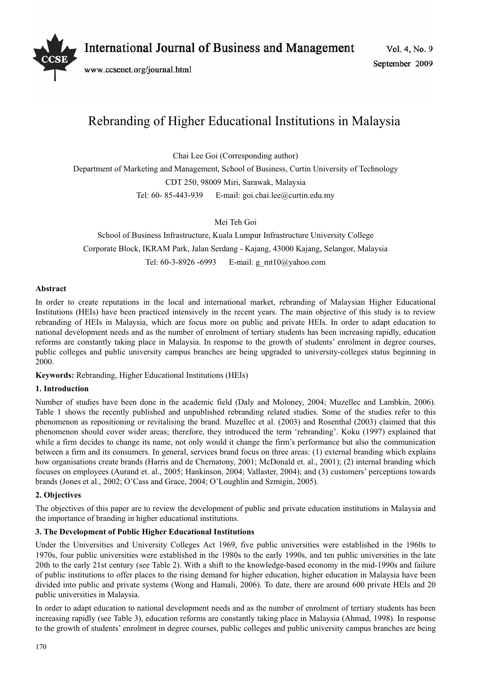

# Rebranding of Higher Educational Institutions in Malaysia

Chai Lee Goi (Corresponding author)

Department of Marketing and Management, School of Business, Curtin University of Technology CDT 250, 98009 Miri, Sarawak, Malaysia Tel: 60- 85-443-939 E-mail: goi.chai.lee@curtin.edu.my

Mei Teh Goi

School of Business Infrastructure, Kuala Lumpur Infrastructure University College Corporate Block, IKRAM Park, Jalan Serdang - Kajang, 43000 Kajang, Selangor, Malaysia Tel: 60-3-8926 -6993 E-mail: g\_mt10@yahoo.com

## **Abstract**

In order to create reputations in the local and international market, rebranding of Malaysian Higher Educational Institutions (HEIs) have been practiced intensively in the recent years. The main objective of this study is to review rebranding of HEIs in Malaysia, which are focus more on public and private HEIs. In order to adapt education to national development needs and as the number of enrolment of tertiary students has been increasing rapidly, education reforms are constantly taking place in Malaysia. In response to the growth of students' enrolment in degree courses, public colleges and public university campus branches are being upgraded to university-colleges status beginning in 2000.

**Keywords:** Rebranding, Higher Educational Institutions (HEIs)

## **1. Introduction**

Number of studies have been done in the academic field (Daly and Moloney, 2004; Muzellec and Lambkin, 2006). Table 1 shows the recently published and unpublished rebranding related studies. Some of the studies refer to this phenomenon as repositioning or revitalising the brand. Muzellec et al. (2003) and Rosenthal (2003) claimed that this phenomenon should cover wider areas; therefore, they introduced the term 'rebranding'. Koku (1997) explained that while a firm decides to change its name, not only would it change the firm's performance but also the communication between a firm and its consumers. In general, services brand focus on three areas: (1) external branding which explains how organisations create brands (Harris and de Chernatony, 2001; McDonald et. al., 2001); (2) internal branding which focuses on employees (Aurand et. al., 2005; Hankinson, 2004; Vallaster, 2004); and (3) customers' perceptions towards brands (Jones et al., 2002; O'Cass and Grace, 2004; O'Loughlin and Szmigin, 2005).

## **2. Objectives**

The objectives of this paper are to review the development of public and private education institutions in Malaysia and the importance of branding in higher educational institutions.

## **3. The Development of Public Higher Educational Institutions**

Under the Universities and University Colleges Act 1969, five public universities were established in the 1960s to 1970s, four public universities were established in the 1980s to the early 1990s, and ten public universities in the late 20th to the early 21st century (see Table 2). With a shift to the knowledge-based economy in the mid-1990s and failure of public institutions to offer places to the rising demand for higher education, higher education in Malaysia have been divided into public and private systems (Wong and Hamali, 2006). To date, there are around 600 private HEIs and 20 public universities in Malaysia.

In order to adapt education to national development needs and as the number of enrolment of tertiary students has been increasing rapidly (see Table 3), education reforms are constantly taking place in Malaysia (Ahmad, 1998). In response to the growth of students' enrolment in degree courses, public colleges and public university campus branches are being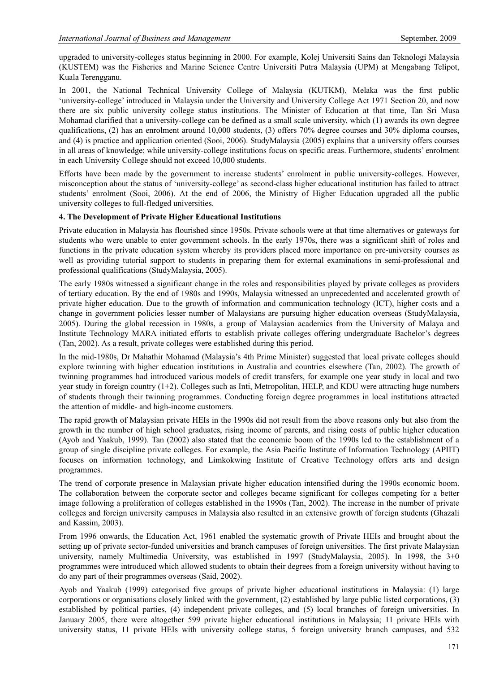upgraded to university-colleges status beginning in 2000. For example, Kolej Universiti Sains dan Teknologi Malaysia (KUSTEM) was the Fisheries and Marine Science Centre Universiti Putra Malaysia (UPM) at Mengabang Telipot, Kuala Terengganu.

In 2001, the National Technical University College of Malaysia (KUTKM), Melaka was the first public 'university-college' introduced in Malaysia under the University and University College Act 1971 Section 20, and now there are six public university college status institutions. The Minister of Education at that time, Tan Sri Musa Mohamad clarified that a university-college can be defined as a small scale university, which (1) awards its own degree qualifications, (2) has an enrolment around 10,000 students, (3) offers 70% degree courses and 30% diploma courses, and (4) is practice and application oriented (Sooi, 2006). StudyMalaysia (2005) explains that a university offers courses in all areas of knowledge; while university-college institutions focus on specific areas. Furthermore, students' enrolment in each University College should not exceed 10,000 students.

Efforts have been made by the government to increase students' enrolment in public university-colleges. However, misconception about the status of 'university-college' as second-class higher educational institution has failed to attract students' enrolment (Sooi, 2006). At the end of 2006, the Ministry of Higher Education upgraded all the public university colleges to full-fledged universities.

#### **4. The Development of Private Higher Educational Institutions**

Private education in Malaysia has flourished since 1950s. Private schools were at that time alternatives or gateways for students who were unable to enter government schools. In the early 1970s, there was a significant shift of roles and functions in the private education system whereby its providers placed more importance on pre-university courses as well as providing tutorial support to students in preparing them for external examinations in semi-professional and professional qualifications (StudyMalaysia, 2005).

The early 1980s witnessed a significant change in the roles and responsibilities played by private colleges as providers of tertiary education. By the end of 1980s and 1990s, Malaysia witnessed an unprecedented and accelerated growth of private higher education. Due to the growth of information and communication technology (ICT), higher costs and a change in government policies lesser number of Malaysians are pursuing higher education overseas (StudyMalaysia, 2005). During the global recession in 1980s, a group of Malaysian academics from the University of Malaya and Institute Technology MARA initiated efforts to establish private colleges offering undergraduate Bachelor's degrees (Tan, 2002). As a result, private colleges were established during this period.

In the mid-1980s, Dr Mahathir Mohamad (Malaysia's 4th Prime Minister) suggested that local private colleges should explore twinning with higher education institutions in Australia and countries elsewhere (Tan, 2002). The growth of twinning programmes had introduced various models of credit transfers, for example one year study in local and two year study in foreign country (1+2). Colleges such as Inti, Metropolitan, HELP, and KDU were attracting huge numbers of students through their twinning programmes. Conducting foreign degree programmes in local institutions attracted the attention of middle- and high-income customers.

The rapid growth of Malaysian private HEIs in the 1990s did not result from the above reasons only but also from the growth in the number of high school graduates, rising income of parents, and rising costs of public higher education (Ayob and Yaakub, 1999). Tan (2002) also stated that the economic boom of the 1990s led to the establishment of a group of single discipline private colleges. For example, the Asia Pacific Institute of Information Technology (APIIT) focuses on information technology, and Limkokwing Institute of Creative Technology offers arts and design programmes.

The trend of corporate presence in Malaysian private higher education intensified during the 1990s economic boom. The collaboration between the corporate sector and colleges became significant for colleges competing for a better image following a proliferation of colleges established in the 1990s (Tan, 2002). The increase in the number of private colleges and foreign university campuses in Malaysia also resulted in an extensive growth of foreign students (Ghazali and Kassim, 2003).

From 1996 onwards, the Education Act, 1961 enabled the systematic growth of Private HEIs and brought about the setting up of private sector-funded universities and branch campuses of foreign universities. The first private Malaysian university, namely Multimedia University, was established in 1997 (StudyMalaysia, 2005). In 1998, the 3+0 programmes were introduced which allowed students to obtain their degrees from a foreign university without having to do any part of their programmes overseas (Said, 2002).

Ayob and Yaakub (1999) categorised five groups of private higher educational institutions in Malaysia: (1) large corporations or organisations closely linked with the government, (2) established by large public listed corporations, (3) established by political parties, (4) independent private colleges, and (5) local branches of foreign universities. In January 2005, there were altogether 599 private higher educational institutions in Malaysia; 11 private HEIs with university status, 11 private HEIs with university college status, 5 foreign university branch campuses, and 532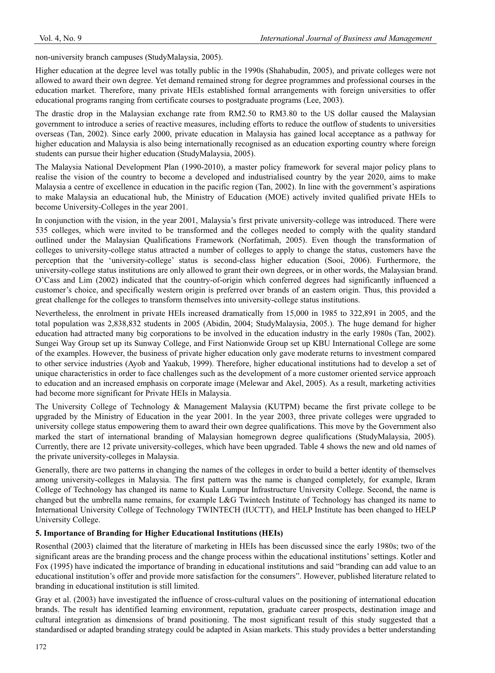non-university branch campuses (StudyMalaysia, 2005).

Higher education at the degree level was totally public in the 1990s (Shahabudin, 2005), and private colleges were not allowed to award their own degree. Yet demand remained strong for degree programmes and professional courses in the education market. Therefore, many private HEIs established formal arrangements with foreign universities to offer educational programs ranging from certificate courses to postgraduate programs (Lee, 2003).

The drastic drop in the Malaysian exchange rate from RM2.50 to RM3.80 to the US dollar caused the Malaysian government to introduce a series of reactive measures, including efforts to reduce the outflow of students to universities overseas (Tan, 2002). Since early 2000, private education in Malaysia has gained local acceptance as a pathway for higher education and Malaysia is also being internationally recognised as an education exporting country where foreign students can pursue their higher education (StudyMalaysia, 2005).

The Malaysia National Development Plan (1990-2010), a master policy framework for several major policy plans to realise the vision of the country to become a developed and industrialised country by the year 2020, aims to make Malaysia a centre of excellence in education in the pacific region (Tan, 2002). In line with the government's aspirations to make Malaysia an educational hub, the Ministry of Education (MOE) actively invited qualified private HEIs to become University-Colleges in the year 2001.

In conjunction with the vision, in the year 2001, Malaysia's first private university-college was introduced. There were 535 colleges, which were invited to be transformed and the colleges needed to comply with the quality standard outlined under the Malaysian Qualifications Framework (Norfatimah, 2005). Even though the transformation of colleges to university-college status attracted a number of colleges to apply to change the status, customers have the perception that the 'university-college' status is second-class higher education (Sooi, 2006). Furthermore, the university-college status institutions are only allowed to grant their own degrees, or in other words, the Malaysian brand. O'Cass and Lim (2002) indicated that the country-of-origin which conferred degrees had significantly influenced a customer's choice, and specifically western origin is preferred over brands of an eastern origin. Thus, this provided a great challenge for the colleges to transform themselves into university-college status institutions.

Nevertheless, the enrolment in private HEIs increased dramatically from 15,000 in 1985 to 322,891 in 2005, and the total population was 2,838,832 students in 2005 (Abidin, 2004; StudyMalaysia, 2005.). The huge demand for higher education had attracted many big corporations to be involved in the education industry in the early 1980s (Tan, 2002). Sungei Way Group set up its Sunway College, and First Nationwide Group set up KBU International College are some of the examples. However, the business of private higher education only gave moderate returns to investment compared to other service industries (Ayob and Yaakub, 1999). Therefore, higher educational institutions had to develop a set of unique characteristics in order to face challenges such as the development of a more customer oriented service approach to education and an increased emphasis on corporate image (Melewar and Akel, 2005). As a result, marketing activities had become more significant for Private HEIs in Malaysia.

The University College of Technology & Management Malaysia (KUTPM) became the first private college to be upgraded by the Ministry of Education in the year 2001. In the year 2003, three private colleges were upgraded to university college status empowering them to award their own degree qualifications. This move by the Government also marked the start of international branding of Malaysian homegrown degree qualifications (StudyMalaysia, 2005). Currently, there are 12 private university-colleges, which have been upgraded. Table 4 shows the new and old names of the private university-colleges in Malaysia.

Generally, there are two patterns in changing the names of the colleges in order to build a better identity of themselves among university-colleges in Malaysia. The first pattern was the name is changed completely, for example, Ikram College of Technology has changed its name to Kuala Lumpur Infrastructure University College. Second, the name is changed but the umbrella name remains, for example L&G Twintech Institute of Technology has changed its name to International University College of Technology TWINTECH (IUCTT), and HELP Institute has been changed to HELP University College.

## **5. Importance of Branding for Higher Educational Institutions (HEIs)**

Rosenthal (2003) claimed that the literature of marketing in HEIs has been discussed since the early 1980s; two of the significant areas are the branding process and the change process within the educational institutions' settings. Kotler and Fox (1995) have indicated the importance of branding in educational institutions and said "branding can add value to an educational institution's offer and provide more satisfaction for the consumers". However, published literature related to branding in educational institution is still limited.

Gray et al. (2003) have investigated the influence of cross-cultural values on the positioning of international education brands. The result has identified learning environment, reputation, graduate career prospects, destination image and cultural integration as dimensions of brand positioning. The most significant result of this study suggested that a standardised or adapted branding strategy could be adapted in Asian markets. This study provides a better understanding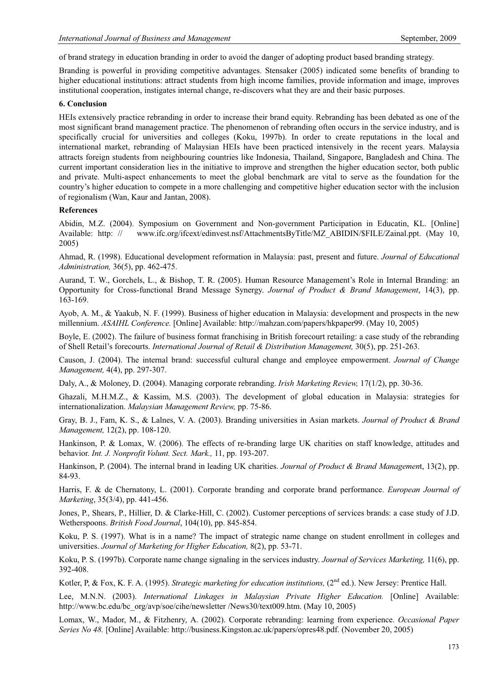of brand strategy in education branding in order to avoid the danger of adopting product based branding strategy.

Branding is powerful in providing competitive advantages. Stensaker (2005) indicated some benefits of branding to higher educational institutions: attract students from high income families, provide information and image, improves institutional cooperation, instigates internal change, re-discovers what they are and their basic purposes.

#### **6. Conclusion**

HEIs extensively practice rebranding in order to increase their brand equity. Rebranding has been debated as one of the most significant brand management practice. The phenomenon of rebranding often occurs in the service industry, and is specifically crucial for universities and colleges (Koku, 1997b). In order to create reputations in the local and international market, rebranding of Malaysian HEIs have been practiced intensively in the recent years. Malaysia attracts foreign students from neighbouring countries like Indonesia, Thailand, Singapore, Bangladesh and China. The current important consideration lies in the initiative to improve and strengthen the higher education sector, both public and private. Multi-aspect enhancements to meet the global benchmark are vital to serve as the foundation for the country's higher education to compete in a more challenging and competitive higher education sector with the inclusion of regionalism (Wan, Kaur and Jantan, 2008).

#### **References**

Abidin, M.Z. (2004). Symposium on Government and Non-government Participation in Educatin, KL. [Online] Available: http: // www.ifc.org/ifcext/edinvest.nsf/AttachmentsByTitle/MZ\_ABIDIN/\$FILE/Zainal.ppt. (May 10, 2005)

Ahmad, R. (1998). Educational development reformation in Malaysia: past, present and future. *Journal of Educational Administration,* 36(5), pp. 462-475.

Aurand, T. W., Gorchels, L., & Bishop, T. R. (2005). Human Resource Management's Role in Internal Branding: an Opportunity for Cross-functional Brand Message Synergy. *Journal of Product & Brand Management*, 14(3), pp. 163-169.

Ayob, A. M., & Yaakub, N. F. (1999). Business of higher education in Malaysia: development and prospects in the new millennium. *ASAIHL Conference.* [Online] Available: http://mahzan.com/papers/hkpaper99. (May 10, 2005)

Boyle, E. (2002). The failure of business format franchising in British forecourt retailing: a case study of the rebranding of Shell Retail's forecourts. *International Journal of Retail & Distribution Management,* 30(5), pp. 251-263.

Causon, J. (2004). The internal brand: successful cultural change and employee empowerment. *Journal of Change Management,* 4(4), pp. 297-307.

Daly, A., & Moloney, D. (2004). Managing corporate rebranding. *Irish Marketing Review,* 17(1/2), pp. 30-36.

Ghazali, M.H.M.Z., & Kassim, M.S. (2003). The development of global education in Malaysia: strategies for internationalization. *Malaysian Management Review,* pp. 75-86.

Gray, B. J., Fam, K. S., & Lalnes, V. A. (2003). Branding universities in Asian markets. *Journal of Product & Brand Management,* 12(2), pp. 108-120.

Hankinson, P. & Lomax, W. (2006). The effects of re-branding large UK charities on staff knowledge, attitudes and behavior. *Int. J. Nonprofit Volunt. Sect. Mark.,* 11, pp. 193-207.

Hankinson, P. (2004). The internal brand in leading UK charities. *Journal of Product & Brand Managemen*t, 13(2), pp. 84-93.

Harris, F. & de Chernatony, L. (2001). Corporate branding and corporate brand performance. *European Journal of Marketing*, 35(3/4), pp. 441-456.

Jones, P., Shears, P., Hillier, D. & Clarke-Hill, C. (2002). Customer perceptions of services brands: a case study of J.D. Wetherspoons. *British Food Journal*, 104(10), pp. 845-854.

Koku, P. S. (1997). What is in a name? The impact of strategic name change on student enrollment in colleges and universities. *Journal of Marketing for Higher Education,* 8(2), pp. 53-71.

Koku, P. S. (1997b). Corporate name change signaling in the services industry. *Journal of Services Marketing,* 11(6), pp. 392-408.

Kotler, P, & Fox, K. F. A. (1995). *Strategic marketing for education institutions*, (2<sup>nd</sup> ed.). New Jersey: Prentice Hall.

Lee, M.N.N. (2003). *International Linkages in Malaysian Private Higher Education*. [Online] Available: http://www.bc.edu/bc\_org/avp/soe/cihe/newsletter /News30/text009.htm. (May 10, 2005)

Lomax, W., Mador, M., & Fitzhenry, A. (2002). Corporate rebranding: learning from experience. *Occasional Paper Series No 48.* [Online] Available: http://business.Kingston.ac.uk/papers/opres48.pdf. (November 20, 2005)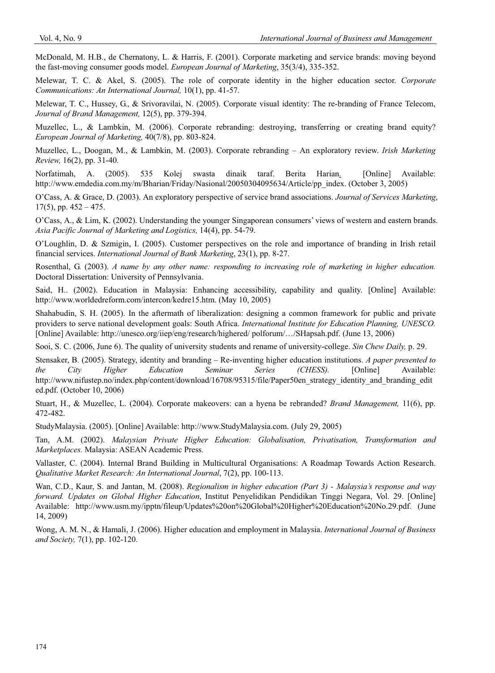McDonald, M. H.B., de Chernatony, L. & Harris, F. (2001). Corporate marketing and service brands: moving beyond the fast-moving consumer goods model. *European Journal of Marketing*, 35(3/4), 335-352.

Melewar, T. C. & Akel, S. (2005). The role of corporate identity in the higher education sector. *Corporate Communications: An International Journal,* 10(1), pp. 41-57.

Melewar, T. C., Hussey, G., & Srivoravilai, N. (2005). Corporate visual identity: The re-branding of France Telecom, *Journal of Brand Management,* 12(5), pp. 379-394.

Muzellec, L., & Lambkin, M. (2006). Corporate rebranding: destroying, transferring or creating brand equity? *European Journal of Marketing,* 40(7/8), pp. 803-824.

Muzellec, L., Doogan, M., & Lambkin, M. (2003). Corporate rebranding – An exploratory review. *Irish Marketing Review,* 16(2), pp. 31-40.

Norfatimah, A. (2005). 535 Kolej swasta dinaik taraf. Berita Harian. [Online] Available: http://www.emdedia.com.my/m/Bharian/Friday/Nasional/20050304095634/Article/pp\_index. (October 3, 2005)

O'Cass, A. & Grace, D. (2003). An exploratory perspective of service brand associations. *Journal of Services Marketing*,  $17(5)$ , pp.  $452 - 475$ .

O'Cass, A., & Lim, K. (2002). Understanding the younger Singaporean consumers' views of western and eastern brands. *Asia Pacific Journal of Marketing and Logistics,* 14(4), pp. 54-79.

O'Loughlin, D. & Szmigin, I. (2005). Customer perspectives on the role and importance of branding in Irish retail financial services. *International Journal of Bank Marketing*, 23(1), pp. 8-27.

Rosenthal, G. (2003). *A name by any other name: responding to increasing role of marketing in higher education.* Doctoral Dissertation: University of Pennsylvania.

Said, H.. (2002). Education in Malaysia: Enhancing accessibility, capability and quality. [Online] Available: http://www.worldedreform.com/intercon/kedre15.htm. (May 10, 2005)

Shahabudin, S. H. (2005). In the aftermath of liberalization: designing a common framework for public and private providers to serve national development goals: South Africa. *International Institute for Education Planning, UNESCO.*  [Online] Available: http://unesco.org/iiep/eng/research/highered/ polforum/…/SHapsah.pdf. (June 13, 2006)

Sooi, S. C. (2006, June 6). The quality of university students and rename of university-college. *Sin Chew Daily,* p. 29.

Stensaker, B. (2005). Strategy, identity and branding – Re-inventing higher education institutions. *A paper presented to the City Higher Education Seminar Series (CHESS).* [Online] Available: http://www.nifustep.no/index.php/content/download/16708/95315/file/Paper50en\_strategy\_identity\_and\_branding\_edit ed.pdf. (October 10, 2006)

Stuart, H., & Muzellec, L. (2004). Corporate makeovers: can a hyena be rebranded? *Brand Management,* 11(6), pp. 472-482.

StudyMalaysia. (2005). [Online] Available: http://www.StudyMalaysia.com. (July 29, 2005)

Tan, A.M. (2002). *Malaysian Private Higher Education: Globalisation, Privatisation, Transformation and Marketplaces.* Malaysia: ASEAN Academic Press.

Vallaster, C. (2004). Internal Brand Building in Multicultural Organisations: A Roadmap Towards Action Research. *Qualitative Market Research: An International Journal*, 7(2), pp. 100-113.

Wan, C.D., Kaur, S. and Jantan, M. (2008). *Regionalism in higher education (Part 3) - Malaysia's response and way forward. Updates on Global Higher Education*, Institut Penyelidikan Pendidikan Tinggi Negara, Vol. 29. [Online] Available: http://www.usm.my/ipptn/fileup/Updates%20on%20Global%20Higher%20Education%20No.29.pdf. (June 14, 2009)

Wong, A. M. N., & Hamali, J. (2006). Higher education and employment in Malaysia. *International Journal of Business and Society,* 7(1), pp. 102-120.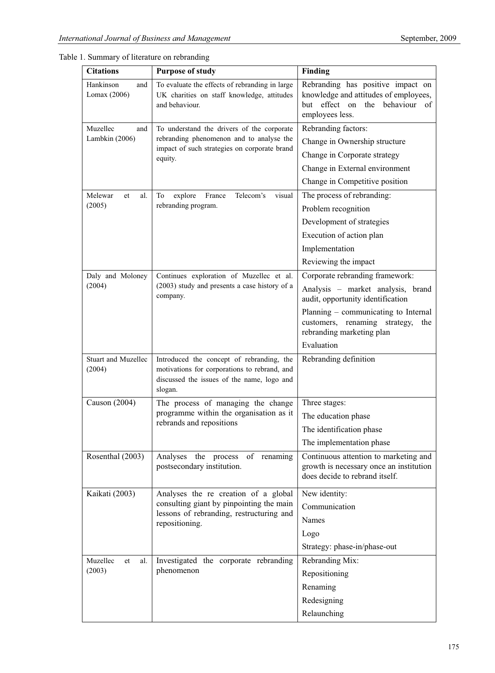| <b>Citations</b>                  | <b>Purpose of study</b>                                                                                                                            | Finding                                                                                                                                  |  |  |
|-----------------------------------|----------------------------------------------------------------------------------------------------------------------------------------------------|------------------------------------------------------------------------------------------------------------------------------------------|--|--|
| Hankinson<br>and<br>Lomax (2006)  | To evaluate the effects of rebranding in large<br>UK charities on staff knowledge, attitudes<br>and behaviour.                                     | Rebranding has positive impact on<br>knowledge and attitudes of employees,<br>effect on<br>hut<br>the<br>behaviour of<br>employees less. |  |  |
| Muzellec<br>and<br>Lambkin (2006) | To understand the drivers of the corporate<br>rebranding phenomenon and to analyse the                                                             | Rebranding factors:<br>Change in Ownership structure                                                                                     |  |  |
|                                   | impact of such strategies on corporate brand                                                                                                       | Change in Corporate strategy                                                                                                             |  |  |
|                                   | equity.                                                                                                                                            | Change in External environment                                                                                                           |  |  |
|                                   |                                                                                                                                                    | Change in Competitive position                                                                                                           |  |  |
| Melewar<br>al.<br>et              | Telecom's<br>visual<br>To<br>explore<br>France                                                                                                     | The process of rebranding:                                                                                                               |  |  |
| (2005)                            | rebranding program.                                                                                                                                | Problem recognition                                                                                                                      |  |  |
|                                   |                                                                                                                                                    | Development of strategies                                                                                                                |  |  |
|                                   |                                                                                                                                                    | Execution of action plan                                                                                                                 |  |  |
|                                   |                                                                                                                                                    | Implementation                                                                                                                           |  |  |
|                                   |                                                                                                                                                    | Reviewing the impact                                                                                                                     |  |  |
| Daly and Moloney                  | Continues exploration of Muzellec et al.                                                                                                           | Corporate rebranding framework:                                                                                                          |  |  |
| (2004)                            | (2003) study and presents a case history of a<br>company.                                                                                          | Analysis - market analysis, brand<br>audit, opportunity identification                                                                   |  |  |
|                                   |                                                                                                                                                    | Planning – communicating to Internal<br>customers, renaming strategy,<br>the<br>rebranding marketing plan                                |  |  |
|                                   |                                                                                                                                                    | Evaluation                                                                                                                               |  |  |
| Stuart and Muzellec<br>(2004)     | Introduced the concept of rebranding, the<br>motivations for corporations to rebrand, and<br>discussed the issues of the name, logo and<br>slogan. | Rebranding definition                                                                                                                    |  |  |
| Causon (2004)                     | The process of managing the change                                                                                                                 | Three stages:                                                                                                                            |  |  |
|                                   | programme within the organisation as it                                                                                                            | The education phase                                                                                                                      |  |  |
|                                   | rebrands and repositions                                                                                                                           | The identification phase                                                                                                                 |  |  |
|                                   |                                                                                                                                                    | The implementation phase                                                                                                                 |  |  |
| Rosenthal (2003)                  | Analyses the process of renaming                                                                                                                   | Continuous attention to marketing and                                                                                                    |  |  |
|                                   | postsecondary institution.                                                                                                                         | growth is necessary once an institution<br>does decide to rebrand itself.                                                                |  |  |
| Kaikati (2003)                    | Analyses the re creation of a global                                                                                                               | New identity:                                                                                                                            |  |  |
|                                   | consulting giant by pinpointing the main<br>lessons of rebranding, restructuring and                                                               | Communication                                                                                                                            |  |  |
|                                   | repositioning.                                                                                                                                     | Names                                                                                                                                    |  |  |
|                                   |                                                                                                                                                    | Logo                                                                                                                                     |  |  |
|                                   |                                                                                                                                                    | Strategy: phase-in/phase-out                                                                                                             |  |  |
| Muzellec<br>et<br>al.             | Investigated the corporate rebranding                                                                                                              | Rebranding Mix:                                                                                                                          |  |  |
| (2003)                            | phenomenon                                                                                                                                         | Repositioning                                                                                                                            |  |  |
|                                   |                                                                                                                                                    | Renaming                                                                                                                                 |  |  |
|                                   |                                                                                                                                                    | Redesigning                                                                                                                              |  |  |
|                                   |                                                                                                                                                    | Relaunching                                                                                                                              |  |  |

Table 1. Summary of literature on rebranding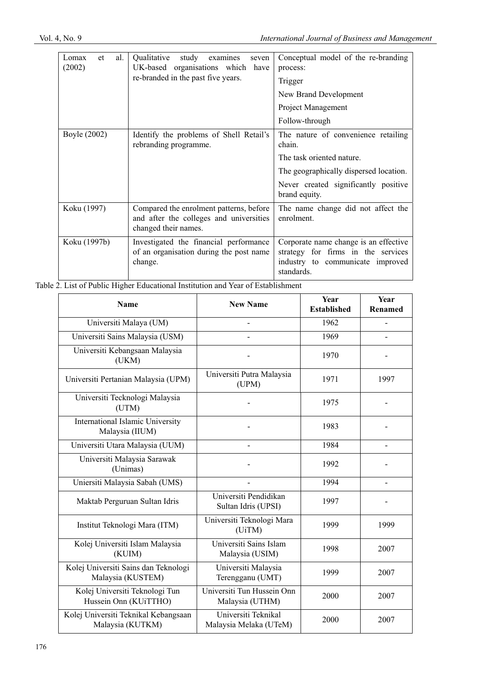| al.<br>Lomax<br>et<br>(2002) | <i><b>Oualitative</b></i><br>study<br>examines<br>seven<br>UK-based organisations which have<br>re-branded in the past five years. | Conceptual model of the re-branding<br>process:<br>Trigger<br>New Brand Development<br>Project Management<br>Follow-through                                                   |
|------------------------------|------------------------------------------------------------------------------------------------------------------------------------|-------------------------------------------------------------------------------------------------------------------------------------------------------------------------------|
| Boyle (2002)                 | Identify the problems of Shell Retail's<br>rebranding programme.                                                                   | The nature of convenience retailing<br>chain.<br>The task oriented nature.<br>The geographically dispersed location.<br>Never created significantly positive<br>brand equity. |
| Koku (1997)                  | Compared the enrolment patterns, before<br>and after the colleges and universities<br>changed their names.                         | The name change did not affect the<br>enrolment.                                                                                                                              |
| Koku (1997b)                 | Investigated the financial performance<br>of an organisation during the post name<br>change.                                       | Corporate name change is an effective<br>strategy for firms in the services<br>industry to communicate improved<br>standards.                                                 |

Table 2. List of Public Higher Educational Institution and Year of Establishment

| Name                                                       | <b>New Name</b>                               | Year<br><b>Established</b> | <b>Year</b><br>Renamed |
|------------------------------------------------------------|-----------------------------------------------|----------------------------|------------------------|
| Universiti Malaya (UM)                                     |                                               | 1962                       |                        |
| Universiti Sains Malaysia (USM)                            |                                               | 1969                       |                        |
| Universiti Kebangsaan Malaysia<br>(UKM)                    |                                               | 1970                       |                        |
| Universiti Pertanian Malaysia (UPM)                        | Universiti Putra Malaysia<br>(UPM)            | 1971                       | 1997                   |
| Universiti Tecknologi Malaysia<br>(UTM)                    |                                               | 1975                       |                        |
| <b>International Islamic University</b><br>Malaysia (IIUM) |                                               | 1983                       |                        |
| Universiti Utara Malaysia (UUM)                            |                                               | 1984                       |                        |
| Universiti Malaysia Sarawak<br>(Unimas)                    |                                               | 1992                       |                        |
| Uniersiti Malaysia Sabah (UMS)                             |                                               | 1994                       |                        |
| Maktab Perguruan Sultan Idris                              | Universiti Pendidikan<br>Sultan Idris (UPSI)  | 1997                       |                        |
| Institut Teknologi Mara (ITM)                              | Universiti Teknologi Mara<br>(UiTM)           | 1999                       | 1999                   |
| Kolej Universiti Islam Malaysia<br>(KUIM)                  | Universiti Sains Islam<br>Malaysia (USIM)     | 1998                       | 2007                   |
| Kolej Universiti Sains dan Teknologi<br>Malaysia (KUSTEM)  | Universiti Malaysia<br>Terengganu (UMT)       | 1999                       | 2007                   |
| Kolej Universiti Teknologi Tun<br>Hussein Onn (KUiTTHO)    | Universiti Tun Hussein Onn<br>Malaysia (UTHM) | 2000                       | 2007                   |
| Kolej Universiti Teknikal Kebangsaan<br>Malaysia (KUTKM)   | Universiti Teknikal<br>Malaysia Melaka (UTeM) | 2000                       | 2007                   |